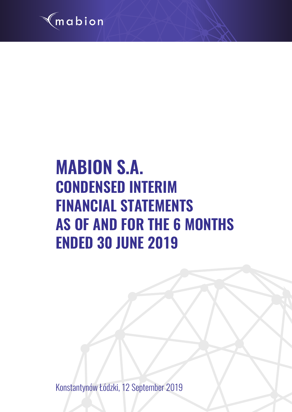

# **MABION S.A. CONDENSED INTERIM FINANCIAL STATEMENTS AS OF AND FOR THE 6 MONTHS ENDED 30 JUNE 2019**

Konstantynów Łódzki, 12 September 2019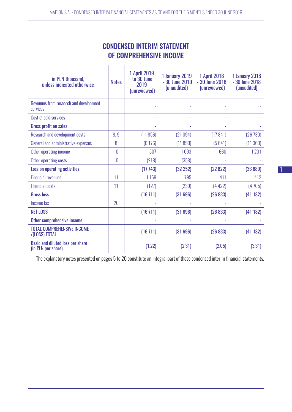# CONDENSED INTERIM STATEMENT OF COMPREHENSIVE INCOME

| in PLN thousand,<br>unless indicated otherwise         | <b>Notes</b> | <b>1 April 2019</b><br>to 30 June<br>2019<br>(unreviewed) | 1 January 2019<br>- 30 June 2019<br>(unaudited) | <b>1 April 2018</b><br>$-30$ June 2018<br>(unreviewed) | <b>1 January 2018</b><br>- 30 June 2018<br>(unaudited) |
|--------------------------------------------------------|--------------|-----------------------------------------------------------|-------------------------------------------------|--------------------------------------------------------|--------------------------------------------------------|
| Revenues from research and development<br>services     |              |                                                           |                                                 |                                                        |                                                        |
| Cost of sold services                                  |              | ÷,                                                        | ٠                                               | L.                                                     |                                                        |
| <b>Gross profit on sales</b>                           |              | ä,                                                        | $\sim$                                          |                                                        |                                                        |
| <b>Research and development costs</b>                  | 8,9          | (11856)                                                   | (21094)                                         | (17841)                                                | (26730)                                                |
| General and administrative expenses                    | 8            | (6176)                                                    | (11893)                                         | (5641)                                                 | (11360)                                                |
| Other operating income                                 | 10           | 507                                                       | 1093                                            | 660                                                    | 1201                                                   |
| Other operating costs                                  | 10           | (218)                                                     | (358)                                           |                                                        |                                                        |
| Loss on operating activities                           |              | (17743)                                                   | (32 252)                                        | (22822)                                                | (36 889)                                               |
| <b>Financial revenues</b>                              | 11           | 1159                                                      | 795                                             | 411                                                    | 412                                                    |
| <b>Financial costs</b>                                 | 11           | (127)                                                     | (239)                                           | (4422)                                                 | (4705)                                                 |
| <b>Gross loss</b>                                      |              | (16711)                                                   | (31696)                                         | (26833)                                                | (41182)                                                |
| Income tax                                             | 20           |                                                           |                                                 |                                                        |                                                        |
| <b>NET LOSS</b>                                        |              | (16711)                                                   | (31696)                                         | (26833)                                                | (41182)                                                |
| Other comprehensive income                             |              | ÷                                                         |                                                 |                                                        |                                                        |
| <b>TOTAL COMPREHENSIVE INCOME</b><br>/(LOSS) TOTAL     |              | (16711)                                                   | (31696)                                         | (26833)                                                | (41182)                                                |
| Basic and diluted loss per share<br>(in PLN per share) |              | (1.22)                                                    | (2.31)                                          | (2.05)                                                 | (3.31)                                                 |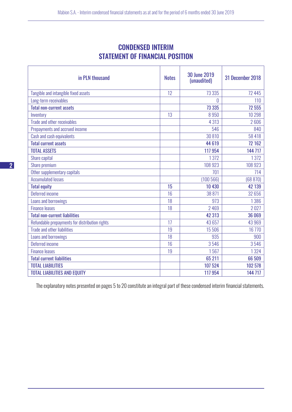# CONDENSED INTERIM STATEMENT OF FINANCIAL POSITION

| in PLN thousand                                | <b>Notes</b> | <b>30 June 2019</b><br>(unaudited) | 31 December 2018 |
|------------------------------------------------|--------------|------------------------------------|------------------|
| Tangible and intangible fixed assets           | 12           | 73 3 35                            | 72 445           |
| Long-term receivables                          |              | 0                                  | 110              |
| <b>Total non-current assets</b>                |              | 73 335                             | 72 555           |
| Inventory                                      | 13           | 8950                               | 10 298           |
| Trade and other receivables                    |              | 4 3 1 3                            | 2606             |
| Prepayments and accrued income                 |              | 546                                | 840              |
| Cash and cash equivalents                      |              | 30 810                             | 58 418           |
| <b>Total current assets</b>                    |              | 44 619                             | 72 162           |
| <b>TOTAL ASSETS</b>                            |              | 117 954                            | 144 717          |
| Share capital                                  |              | 1372                               | 1372             |
| Share premium                                  |              | 108 923                            | 108 923          |
| Other supplementary capitals                   |              | 701                                | 714              |
| <b>Accumulated losses</b>                      |              | (100566)                           | (68 870)         |
| <b>Total equity</b>                            | 15           | 10 430                             | 42 139           |
| Deferred income                                | 16           | 38 871                             | 32 656           |
| Loans and borrowings                           | 18           | 973                                | 1386             |
| <b>Finance leases</b>                          | 18           | 2469                               | 2027             |
| <b>Total non-current liabilities</b>           |              | 42 313                             | 36 069           |
| Refundable prepayments for distribution rights | 17           | 43 657                             | 43969            |
| <b>Trade and other liabilities</b>             | 19           | 15 506                             | 16 770           |
| Loans and borrowings                           | 18           | 935                                | 900              |
| Deferred income                                | 16           | 3546                               | 3546             |
| <b>Finance leases</b>                          | 19           | 1567                               | 1324             |
| <b>Total current liabilities</b>               |              | 65 211                             | 66 509           |
| <b>TOTAL LIABILITIES</b>                       |              | 107 524                            | 102 578          |
| <b>TOTAL LIABILITIES AND EQUITY</b>            |              | 117 954                            | 144 717          |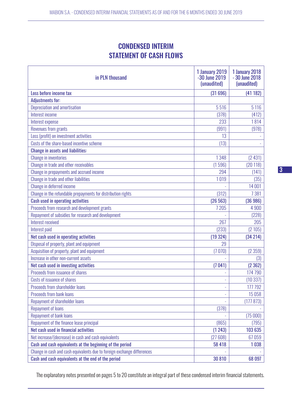# CONDENSED INTERIM STATEMENT OF CASH FLOWS

| in PLN thousand                                                         | <b>1 January 2019</b><br>-30 June 2019<br>(unaudited) | <b>1 January 2018</b><br>- 30 June 2018<br>(unaudited) |
|-------------------------------------------------------------------------|-------------------------------------------------------|--------------------------------------------------------|
| Loss before income tax                                                  | (31696)                                               | (41182)                                                |
| <b>Adjustments for:</b>                                                 |                                                       |                                                        |
| Depreciation and amortisation                                           | 5516                                                  | 5 1 1 6                                                |
| Interest income                                                         | (378)                                                 | (412)                                                  |
| Interest expense                                                        | 233                                                   | 1814                                                   |
| <b>Revenues from grants</b>                                             | (991)                                                 | (978)                                                  |
| Loss (profit) on investment activities                                  | 13                                                    |                                                        |
| Costs of the share-based incentive scheme                               | (13)                                                  |                                                        |
| <b>Change in assets and liabilities:</b>                                |                                                       |                                                        |
| <b>Change in inventories</b>                                            | 1348                                                  | (2431)                                                 |
| Change in trade and other receivables                                   | (1596)                                                | (20118)                                                |
| Change in prepayments and accrued income                                | 294                                                   | (141)                                                  |
| Change in trade and other liabilities                                   | 1019                                                  | (35)                                                   |
| Change in deferred income                                               |                                                       | 14 001                                                 |
| Change in the refundable prepayments for distribution rights            | (312)                                                 | 7381                                                   |
| <b>Cash used in operating activities</b>                                | (26563)                                               | (36986)                                                |
| Proceeds from research and development grants                           | 7 2 0 5                                               | 4 9 0 0                                                |
| Repayment of subsidies for research and development                     |                                                       | (228)                                                  |
| Interest received                                                       | 267                                                   | 205                                                    |
| Interest paid                                                           | (233)                                                 | (2105)                                                 |
| Net cash used in operating activities                                   | (19324)                                               | (34 214)                                               |
| Disposal of property, plant and equipment                               | 29                                                    |                                                        |
| Acquisition of property, plant and equipment                            | (7070)                                                | (2359)                                                 |
| Increase in other non-current assets                                    |                                                       | (3)                                                    |
| Net cash used in investing activities                                   | (7041)                                                | (2362)                                                 |
| Proceeds from issuance of shares                                        |                                                       | 174 790                                                |
| Costs of issuance of shares                                             |                                                       | (10337)                                                |
| Proceeds from shareholder loans                                         |                                                       | 177 792                                                |
| <b>Proceeds from bank loans</b>                                         |                                                       | 15 0 58                                                |
| Repayment of shareholder loans                                          |                                                       | (177873)                                               |
| <b>Repayment of loans</b>                                               | (378)                                                 |                                                        |
| Repayment of bank loans                                                 |                                                       | (75000)                                                |
| Repayment of the finance lease principal                                | (865)                                                 | (795)                                                  |
| Net cash used in financial activities                                   | (1243)                                                | 103 635                                                |
| Net increase/(decrease) in cash and cash equivalents                    | (27608)                                               | 67059                                                  |
| Cash and cash equivalents at the beginning of the period                | 58 418                                                | 1038                                                   |
| Change in cash and cash equivalents due to foreign exchange differences |                                                       |                                                        |
| Cash and cash equivalents at the end of the period                      | 30 810                                                | 68 097                                                 |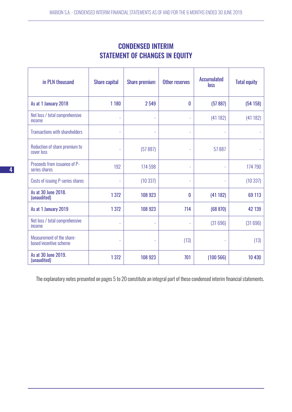| <b>CONDENSED INTERIM</b>              |  |  |  |  |  |  |
|---------------------------------------|--|--|--|--|--|--|
| <b>STATEMENT OF CHANGES IN EQUITY</b> |  |  |  |  |  |  |

| in PLN thousand                                     | <b>Share capital</b> | <b>Share premium</b> | <b>Other reserves</b> | <b>Accumulated</b><br><b>loss</b> | <b>Total equity</b> |
|-----------------------------------------------------|----------------------|----------------------|-----------------------|-----------------------------------|---------------------|
| As at 1 January 2018                                | 1 1 8 0              | 2549                 | 0                     | (57 887)                          | (54158)             |
| Net loss / total comprehensive<br>income            |                      | ÷,                   |                       | (41182)                           | (41182)             |
| <b>Transactions with shareholders</b>               | ٠                    | ÷,                   | ÷                     |                                   |                     |
| Reduction of share premium to<br>cover loss         | L.                   | (57887)              |                       | 57887                             |                     |
| Proceeds from issuance of P-<br>series shares       | 192                  | 174 598              | L                     | L,                                | 174 790             |
| Costs of issuing P-series shares                    |                      | (10337)              |                       |                                   | (10337)             |
| As at 30 June 2018.<br>(unaudited)                  | 1372                 | 108 923              | 0                     | (41182)                           | 69 113              |
| As at 1 January 2019                                | 1372                 | 108 923              | 714                   | (68 870)                          | 42 139              |
| Net loss / total comprehensive<br>income            | L.                   | $\bar{\phantom{a}}$  |                       | (31696)                           | (31696)             |
| Measurement of the share-<br>based incentive scheme | ÷,                   |                      | (13)                  |                                   | (13)                |
| As at 30 June 2019.<br>(unaudited)                  | 1372                 | 108 923              | 701                   | (100 566)                         | 10 430              |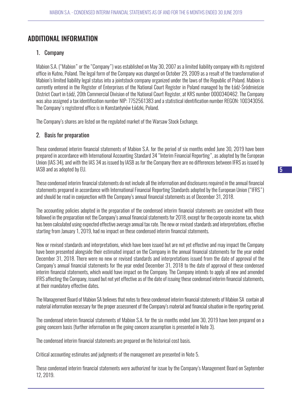## ADDITIONAL INFORMATION

## 1. Company

Mabion S.A. ("Mabion" or the "Company") was established on May 30, 2007 as a limited liability company with its registered office in Kutno, Poland. The legal form of the Company was changed on October 29, 2009 as a result of the transformation of Mabion's limited liability legal status into a jointstock company organized under the laws of the Republic of Poland. Mabion is currently entered in the Register of Enterprises of the National Court Register in Poland managed by the Łódź-Śródmieście District Court in Łódź, 20th Commercial Division of the National Court Register, at KRS number 0000340462. The Company was also assigned a tax identification number NIP: 7752561383 and a statistical identification number REGON: 100343056. The Company's registered office is in Konstantynów Łódzki, Poland.

The Company's shares are listed on the regulated market of the Warsaw Stock Exchange.

## 2. Basis for preparation

These condensed interim financial statements of Mabion S.A. for the period of six months ended June 30, 2019 have been prepared in accordance with International Accounting Standard 34 "Interim Financial Reporting", as adopted by the European Union (IAS 34), and with the IAS 34 as issued by IASB as for the Company there are no differences between IFRS as issued by IASB and as adopted by EU.

These condensed interim financial statements do not include all the information and disclosures required in the annual financial statements prepared in accordance with International Financial Reporting Standards adopted by the European Union ("IFRS") and should be read in conjunction with the Company's annual financial statements as of December 31, 2018.

The accounting policies adopted in the preparation of the condensed interim financial statements are consistent with those followed in the preparation not the Company's annual financial statements for 2018, except for the corporate income tax, which has been calculated using expected effective average annual tax rate. The new or revised standards and interpretations, effective starting from January 1, 2019, had no impact on these condensed interim financial statements.

New or revised standards and interpretations, which have been issued but are not yet effective and may impact the Company have been presented alongside their estimated impact on the Company in the annual financial statements for the year ended December 31, 2018. There were no new or revised standards and interpretations issued from the date of approval of the Company's annual financial statements for the year ended December 31, 2018 to the date of approval of these condensed interim financial statements, which would have impact on the Company. The Company intends to apply all new and amended IFRS affecting the Company, issued but not yet effective as of the date of issuing these condensed interim financial statements, at their mandatory effective dates.

The Management Board of Mabion SA believes that notes to these condensed interim financial statements of Mabion SA contain all material information necessary for the proper assessment of the Company's material and financial situation in the reporting period.

The condensed interim financial statements of Mabion S.A. for the six months ended June 30, 2019 have been prepared on a going concern basis (further information on the going concern assumption is presented in Note 3).

The condensed interim financial statements are prepared on the historical cost basis.

Critical accounting estimates and judgments of the management are presented in Note 5.

These condensed interim financial statements were authorized for issue by the Company's Management Board on September 12, 2019.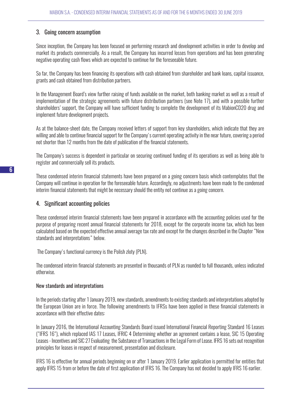## 3. Going concern assumption

Since inception, the Company has been focused on performing research and development activities in order to develop and market its products commercially. As a result, the Company has incurred losses from operations and has been generating negative operating cash flows which are expected to continue for the foreseeable future.

So far, the Company has been financing its operations with cash obtained from shareholder and bank loans, capital issuance, grants and cash obtained from distribution partners.

In the Management Board's view further raising of funds available on the market, both banking market as well as a result of implementation of the strategic agreements with future distribution partners (see Note 17), and with a possible further shareholders' support, the Company will have sufficient funding to complete the development of its MabionCD20 drug and implement future development projects.

As at the balance-sheet date, the Company received letters of support from key shareholders, which indicate that they are willing and able to continue financial support for the Company's current operating activity in the near future, covering a period not shorter than 12 months from the date of publication of the financial statements.

The Company's success is dependent in particular on securing continued funding of its operations as well as being able to register and commercially sell its products.

These condensed interim financial statements have been prepared on a going concern basis which contemplates that the Company will continue in operation for the foreseeable future. Accordingly, no adjustments have been made to the condensed interim financial statements that might be necessary should the entity not continue as a going concern.

#### 4. Significant accounting policies

These condensed interim financial statements have been prepared in accordance with the accounting policies used for the purpose of preparing recent annual financial statements for 2018, except for the corporate income tax, which has been calculated based on the expected effective annual average tax rate and except for the changes described in the Chapter "New standards and interpretations" below.

The Company's functional currency is the Polish zloty (PLN).

The condensed interim financial statements are presented in thousands of PLN as rounded to full thousands, unless indicated otherwise.

#### New standards and interpretations

In the periods starting after 1 January 2019, new standards, amendments to existing standards and interpretations adopted by the European Union are in force. The following amendments to IFRSs have been applied in these financial statements in accordance with their effective dates:

In January 2016, the International Accounting Standards Board issued International Financial Reporting Standard 16 Leases ("IFRS 16"), which replaced IAS 17 Leases, IFRIC 4 Determining whether an agreement contains a lease, SIC 15 Operating Leases - Incentives and SIC 27 Evaluating the Substance of Transactions in the Legal Form of Lease. IFRS 16 sets out recognition principles for leases in respect of measurement, presentation and disclosure.

IFRS 16 is effective for annual periods beginning on or after 1 January 2019. Earlier application is permitted for entities that apply IFRS 15 from or before the date of first application of IFRS 16. The Company has not decided to apply IFRS 16 earlier.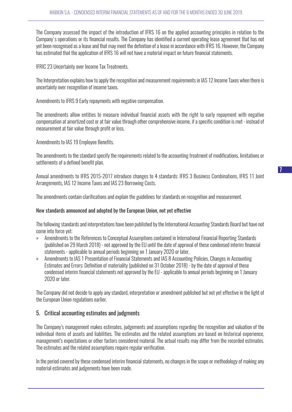The Company assessed the impact of the introduction of IFRS 16 on the applied accounting principles in relation to the Company's operations or its financial results. The Company has identified a current operating lease agreement that has not yet been recognised as a lease and that may meet the definition of a lease in accordance with IFRS 16. However, the Company has estimated that the application of IFRS 16 will not have a material impact on future financial statements.

IFRIC 23 Uncertainty over Income Tax Treatments.

The Interpretation explains how to apply the recognition and measurement requirements in IAS 12 Income Taxes when there is uncertainty over recognition of income taxes.

Amendments to IFRS 9 Early repayments with negative compensation.

The amendments allow entities to measure individual financial assets with the right to early repayment with negative compensation at amortized cost or at fair value through other comprehensive income, if a specific condition is met - instead of measurement at fair value through profit or loss.

Amendments to IAS 19 Employee Benefits.

The amendments to the standard specify the requirements related to the accounting treatment of modifications, limitations or settlements of a defined benefit plan.

Annual amendments to IFRS 2015-2017 introduce changes to 4 standards: IFRS 3 Business Combinations, IFRS 11 Joint Arrangements, IAS 12 Income Taxes and IAS 23 Borrowing Costs.

The amendments contain clarifications and explain the guidelines for standards on recognition and measurement.

#### New standards announced and adopted by the European Union, not yet effective

The following standards and interpretations have been published by the International Accounting Standards Board but have not come into force yet:

- » Amendments to the References to Conceptual Assumptions contained in International Financial Reporting Standards (published on 29 March 2018) - not approved by the EU until the date of approval of these condensed interim financial statements - applicable to annual periods beginning on 1 January 2020 or later,
- » Amendments to IAS 1 Presentation of Financial Statements and IAS 8 Accounting Policies, Changes in Accounting Estimates and Errors: Definition of materiality (published on 31 October 2018) - by the date of approval of these condensed interim financial statements not approved by the EU - applicable to annual periods beginning on 1 January 2020 or later.

The Company did not decide to apply any standard, interpretation or amendment published but not yet effective in the light of the European Union regulations earlier.

#### 5. Critical accounting estimates and judgments

The Company's management makes estimates, judgements and assumptions regarding the recognition and valuation of the individual items of assets and liabilities. The estimates and the related assumptions are based on historical experience, management's expectations or other factors considered material. The actual results may differ from the recorded estimates. The estimates and the related assumptions require regular verification.

In the period covered by these condensed interim financial statements, no changes in the scope or methodology of making any material estimates and judgements have been made.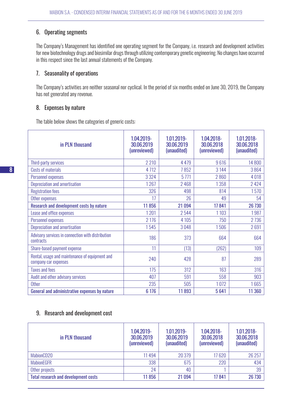## 6. Operating segments

The Company's Management has identified one operating segment for the Company, i.e. research and development activities for new biotechnology drugs and biosimilar drugs through utilizing contemporary genetic engineering. No changes have occurred in this respect since the last annual statements of the Company.

## 7. Seasonality of operations

The Company's activities are neither seasonal nor cyclical. In the period of six months ended on June 30, 2019, the Company has not generated any revenue.

## 8. Expenses by nature

The table below shows the categories of generic costs:

| in PLN thousand                                                        | 1.04.2019-<br>30.06.2019<br>(unreviewed) | 1.01.2019-<br>30.06.2019<br>(unaudited) | 1.04.2018-<br>30.06.2018<br>(unreviewed) | 1.01.2018-<br>30.06.2018<br>(unaudited) |
|------------------------------------------------------------------------|------------------------------------------|-----------------------------------------|------------------------------------------|-----------------------------------------|
| Third-party services                                                   | 2 2 1 0                                  | 4 4 7 9                                 | 9616                                     | 14 800                                  |
| Costs of materials                                                     | 4 7 1 2                                  | 7852                                    | 3144                                     | 3864                                    |
| Personnel expenses                                                     | 3 3 2 4                                  | 5771                                    | 2860                                     | 4018                                    |
| Depreciation and amortisation                                          | 1267                                     | 2468                                    | 1358                                     | 2424                                    |
| <b>Registration fees</b>                                               | 326                                      | 498                                     | 814                                      | 1570                                    |
| Other expenses                                                         | 17                                       | 26                                      | 49                                       | 54                                      |
| Research and development costs by nature                               | 11856                                    | 21 094                                  | 17841                                    | 26 730                                  |
| Lease and office expenses                                              | 1201                                     | 2544                                    | 1 1 0 3                                  | 1987                                    |
| Personnel expenses                                                     | 2 1 7 6                                  | 4 1 0 5                                 | 750                                      | 2736                                    |
| Depreciation and amortisation                                          | 1545                                     | 3048                                    | 1506                                     | 2691                                    |
| Advisory services in connection with distribution<br>contracts         | 186                                      | 373                                     | 664                                      | 664                                     |
| Share-based payment expense                                            | 11                                       | (13)                                    | (262)                                    | 109                                     |
| Rental, usage and maintenance of equipment and<br>company car expenses | 240                                      | 428                                     | 87                                       | 289                                     |
| <b>Taxes and fees</b>                                                  | 175                                      | 312                                     | 163                                      | 316                                     |
| Audit and other advisory services                                      | 407                                      | 591                                     | 558                                      | 903                                     |
| <b>Other</b>                                                           | 235                                      | 505                                     | 1072                                     | 1665                                    |
| General and administrative expenses by nature                          | 6 176                                    | 11893                                   | 5641                                     | 11 360                                  |

## 9. Research and development cost

| in PLN thousand                             | 1.04.2019-<br>30.06.2019<br>(unreviewed) | 1.01.2019-<br>30.06.2019<br>(unaudited) | 1.04.2018-<br>30.06.2018<br>(unreviewed) | 1.01.2018-<br>30.06.2018<br>(unaudited) |
|---------------------------------------------|------------------------------------------|-----------------------------------------|------------------------------------------|-----------------------------------------|
| MabionCD20                                  | 11494                                    | 20 379                                  | 17620                                    | 26 25 7                                 |
| <b>MabionEGFR</b>                           | 338                                      | 675                                     | 220                                      | 434                                     |
| Other projects                              | 24                                       | 40                                      |                                          | 39                                      |
| <b>Total research and development costs</b> | 11856                                    | 21 094                                  | 17841                                    | 26 730                                  |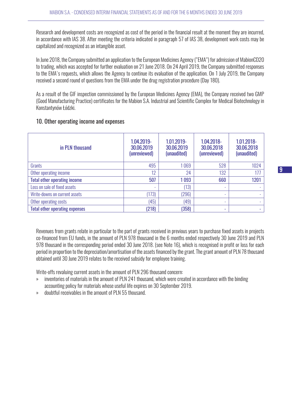Research and development costs are recognized as cost of the period in the financial result at the moment they are incurred, in accordance with IAS 38. After meeting the criteria indicated in paragraph 57 of IAS 38, development work costs may be capitalized and recognized as an intangible asset.

In June 2018, the Company submitted an application to the European Medicines Agency ("EMA") for admission of MabionCD20 to trading, which was accepted for further evaluation on 21 June 2018. On 24 April 2019, the Company submitted responses to the EMA's requests, which allows the Agency to continue its evaluation of the application. On 1 July 2019, the Company received a second round of questions from the EMA under the drug registration procedure (Day 180).

As a result of the GIF inspection commissioned by the European Medicines Agency (EMA), the Company received two GMP (Good Manufacturing Practice) certificates for the Mabion S.A. Industrial and Scientific Complex for Medical Biotechnology in Konstantynów Łódzki.

#### 10. Other operating income and expenses

| in PLN thousand                       | 1.04.2019-<br>30.06.2019<br>(unreviewed) | 1.01.2019-<br>30.06.2019<br>(unaudited) | 1.04.2018-<br>30.06.2018<br>(unreviewed) | 1.01.2018-<br>30.06.2018<br>(unaudited) |
|---------------------------------------|------------------------------------------|-----------------------------------------|------------------------------------------|-----------------------------------------|
| Grants                                | 495                                      | 069                                     | 528                                      | 1024                                    |
| Other operating income                | 12                                       | 24                                      | 132                                      | 17 <sub>1</sub>                         |
| <b>Total other operating income</b>   | 507                                      | 1093                                    | 660                                      | 1201                                    |
| Loss on sale of fixed assets          |                                          | (13)                                    | ٠                                        |                                         |
| Write-downs on current assets         | (173)                                    | (296)                                   | ۰                                        |                                         |
| Other operating costs                 | (45)                                     | (49)                                    | $\overline{\phantom{a}}$                 |                                         |
| <b>Total other operating expenses</b> | (218)                                    | (358)                                   | ٠                                        |                                         |

Revenues from grants relate in particular to the part of grants received in previous years to purchase fixed assets in projects co-financed from EU funds, in the amount of PLN 978 thousand in the 6 months ended respectively 30 June 2019 and PLN 978 thousand in the corresponding period ended 30 June 2018. (see Note 16), which is recognised in profit or loss for each period in proportion to the depreciation/amortisation of the assets financed by the grant. The grant amount of PLN 78 thousand obtained until 30 June 2019 relates to the received subsidy for employee training.

Write-offs revaluing current assets in the amount of PLN 296 thousand concern:

- » inventories of materials in the amount of PLN 241 thousand, which were created in accordance with the binding accounting policy for materials whose useful life expires on 30 September 2019.
- » doubtful receivables in the amount of PLN 55 thousand.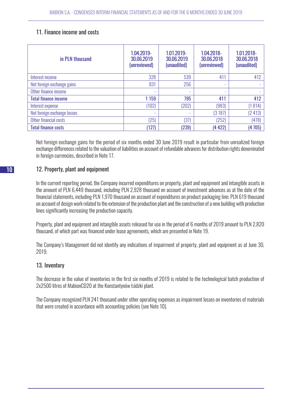## 11. Finance income and costs

| in PLN thousand             | 1.04.2019-<br>30.06.2019<br>(unreviewed) | 1.01.2019-<br>30.06.2019<br>(unaudited) | 1.04.2018-<br>30.06.2018<br>(unreviewed) | 1.01.2018-<br>30.06.2018<br>(unaudited) |
|-----------------------------|------------------------------------------|-----------------------------------------|------------------------------------------|-----------------------------------------|
| Interest income             | 328                                      | 539                                     | 411                                      | 412                                     |
| Net foreign exchange gains  | 831                                      | 256                                     | ٠                                        |                                         |
| Other finance income        | $\overline{\phantom{a}}$                 | ٠                                       | ٠                                        | ٠                                       |
| <b>Total finance income</b> | 1 1 5 9                                  | 795                                     | 411                                      | 412                                     |
| Interest expense            | (102)                                    | (202)                                   | (983)                                    | (1814)                                  |
| Net foreign exchange losses | $\overline{\phantom{a}}$                 | ٠                                       | (3187)                                   | (2413)                                  |
| Other financial costs       | (25)                                     | (37)                                    | (252)                                    | (478)                                   |
| <b>Total finance costs</b>  | (127)                                    | (239)                                   | (4422)                                   | (4705)                                  |

Net foreign exchange gains for the period of six months ended 30 June 2019 result in particular from unrealized foreign exchange differences related to the valuation of liabilities on account of refundable advances for distribution rights denominated in foreign currencies, described in Note 17.

## 12. Property, plant and equipment

In the current reporting period, the Company incurred expenditures on property, plant and equipment and intangible assets in the amount of PLN 6,449 thousand, including PLN 2,928 thousand on account of investment advances as at the date of the financial statements, including PLN 1,970 thousand on account of expenditures on product packaging line; PLN 619 thousand on account of design work related to the extension of the production plant and the construction of a new building with production lines significantly increasing the production capacity.

Property, plant and equipment and intangible assets released for use in the period of 6 months of 2019 amount to PLN 2,820 thousand, of which part was financed under lease agreements, which are presented in Note 19.

The Company's Management did not identify any indications of impairment of property, plant and equipment as at June 30, 2019.

## 13. Inventory

The decrease in the value of inventories in the first six months of 2019 is related to the technological batch production of 2x2500 litres of MabionCD20 at the Konstantynów Łódzki plant.

The Company recognized PLN 241 thousand under other operating expenses as impairment losses on inventories of materials that were created in accordance with accounting policies (see Note 10).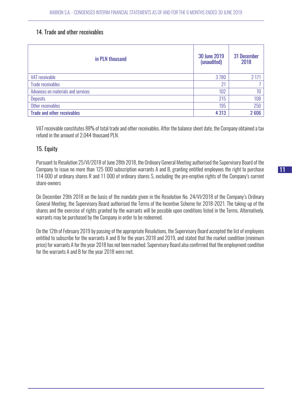## 14. Trade and other receivables

| in PLN thousand                    | 30 June 2019<br>(unaudited) | 31 December<br>2018 |
|------------------------------------|-----------------------------|---------------------|
| VAT receivable                     | 3780                        | 2 1 7 1             |
| <b>Trade receivables</b>           | 21                          |                     |
| Advances on materials and services | 102                         | 70                  |
| <b>Deposits</b>                    | 215                         | 108                 |
| Other receivables                  | 195                         | 250                 |
| <b>Trade and other receivables</b> | 4 3 1 3                     | 2606                |

VAT receivable constitutes 88% of total trade and other receivables. After the balance sheet date, the Company obtained a tax refund in the amount of 2,044 thousand PLN.

## 15. Equity

Pursuant to Resolution 25/VI/2018 of June 28th 2018, the Ordinary General Meeting authorised the Supervisory Board of the Company to issue no more than 125 000 subscription warrants A and B, granting entitled employees the right to purchase 114 000 of ordinary shares R and 11 000 of ordinary shares S, excluding the pre-emptive rights of the Company's current share-owners

On December 29th 2018 on the basis of the mandate given in the Resolution No. 24/VI/2018 of the Company's Ordinary General Meeting, the Supervisory Board authorised the Terms of the Incentive Scheme for 2018-2021. The taking-up of the shares and the exercise of rights granted by the warrants will be possible upon conditions listed in the Terms. Alternatively, warrants may be purchased by the Company in order to be redeemed.

On the 12th of February 2019 by passing of the appropriate Resolutions, the Supervisory Board accepted the list of employees entitled to subscribe for the warrants A and B for the years 2018 and 2019, and stated that the market condition (minimum price) for warrants A for the year 2018 has not been reached. Supervisory Board also confirmed that the employment condition for the warrants A and B for the year 2018 were met.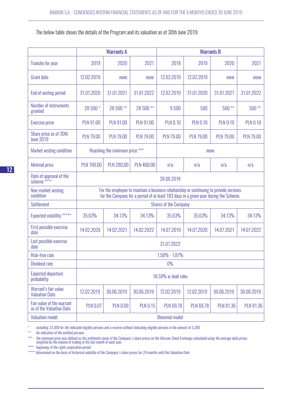The below table shows the details of the Program and its valuation as of 30th June 2019:

|                                                       |                       | <b>Warrants A</b>              |                   |                                                                                                                                                                                | <b>Warrants B</b> |                  |                  |  |
|-------------------------------------------------------|-----------------------|--------------------------------|-------------------|--------------------------------------------------------------------------------------------------------------------------------------------------------------------------------|-------------------|------------------|------------------|--|
| <b>Tranche for year</b>                               | 2019                  | 2020                           | 2021              | 2018                                                                                                                                                                           | 2019              | 2020             | 2021             |  |
| <b>Grant date</b>                                     | 12.02.2019            | none                           | none              | 12.02.2019                                                                                                                                                                     | 12.02.2019        | none             | none             |  |
| End of vesting period                                 | 31.01.2020            | 31.01.2021                     | 31.01.2022        | 12.02.2019                                                                                                                                                                     | 31.01.2020        | 31.01.2021       | 31.01.2022       |  |
| Number of instruments<br>granted                      | 28 500 *              | 28 500 **                      | 28 500 **         | 9500                                                                                                                                                                           | 500               | $500**$          | $500**$          |  |
| <b>Exercise price</b>                                 | <b>PLN 91.00</b>      | <b>PLN 91.00</b>               | <b>PLN 91.00</b>  | <b>PLN 0.10</b>                                                                                                                                                                | <b>PLN 0.10</b>   | <b>PLN 0.10</b>  | <b>PLN 0.10</b>  |  |
| Share price as of 30th<br><b>June 2019</b>            | <b>PLN 79.00</b>      | <b>PLN 79.00</b>               | <b>PLN 79.00</b>  | <b>PLN 79.00</b>                                                                                                                                                               | <b>PLN 79.00</b>  | <b>PLN 79.00</b> | <b>PLN 79.00</b> |  |
| Market vesting condition                              |                       | Reaching the minimum price *** |                   | none                                                                                                                                                                           |                   |                  |                  |  |
| <b>Minimal price</b>                                  | <b>PLN 190.00</b>     | <b>PLN 280.00</b>              | <b>PLN 400.00</b> | n/a                                                                                                                                                                            | n/a               | n/a              | n/a              |  |
| Date of approval of the<br>scheme <sup>*****</sup>    | 28.06.2018            |                                |                   |                                                                                                                                                                                |                   |                  |                  |  |
| Non-market vesting<br>condition                       |                       |                                |                   | For the employee to maintain a business relationship or continuing to provide services<br>for the Company for a period of at least 183 days in a given year during the Scheme. |                   |                  |                  |  |
| <b>Settlement</b>                                     |                       |                                |                   | <b>Shares of the Company</b>                                                                                                                                                   |                   |                  |                  |  |
| Expected volatility *****                             | 35.63%                | 34.13%                         | 34.13%            | 35.63%                                                                                                                                                                         | 35.63%            | 34.13%           | 34.13%           |  |
| First possible exercise<br>date                       | 14.02.2020            | 14.02.2021                     | 14.02.2022        | 14.07.2019                                                                                                                                                                     | 14.07.2020        | 14.07.2021       | 14.07.2022       |  |
| Last possible exercise<br>date                        |                       |                                |                   | 31.07.2022                                                                                                                                                                     |                   |                  |                  |  |
| Risk-free rate                                        |                       |                                |                   | 1.50% - 1.87%                                                                                                                                                                  |                   |                  |                  |  |
| <b>Dividend rate</b>                                  |                       | $0\%$                          |                   |                                                                                                                                                                                |                   |                  |                  |  |
| <b>Expected departure</b><br>probability              | 18.59% w skali roku   |                                |                   |                                                                                                                                                                                |                   |                  |                  |  |
| Warrant's fair value<br><b>Valuation Date</b>         | 12.02.2019            | 30.06.2019                     | 30.06.2019        | 12.02.2019                                                                                                                                                                     | 12.02.2019        | 30.06.2019       | 30.06.2019       |  |
| Fair value of the warrant<br>as of the Valuation Date | <b>PLN 0.07</b>       | <b>PLN 0.09</b>                | <b>PLN 0.15</b>   | <b>PLN 69.78</b>                                                                                                                                                               | <b>PLN 69.78</b>  | <b>PLN 81.36</b> | <b>PLN 81.36</b> |  |
| <b>Valuation model</b>                                | <b>Binomial model</b> |                                |                   |                                                                                                                                                                                |                   |                  |                  |  |

*\* including 23,300 for the indicated eligible persons and a reserve without indicating eligible persons in the amount of 5,200*

*\*\* No indication of the entitled persons*

*\*\*\* the minimum price was defined as the arithmetic mean of the Company's share prices on the Warsaw Stock Exchange calculated using the average daily prices weighted by the volume of trading in the last month of each year.* 

*\*\*\*\* beginning of the rights acquisition period*

*\*\*\*\*\* determined on the basis of historical volatility of the Company's share prices for 24 months until the Valuation Date*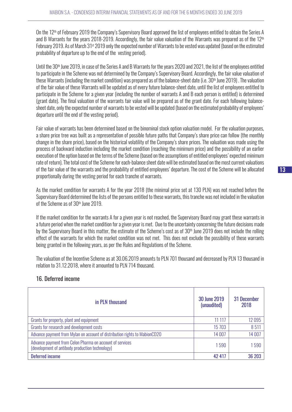On the 12<sup>th</sup> of February 2019 the Company's Supervisory Board approved the list of employees entitled to obtain the Series A and B Warrants for the years 2018-2019. Accordingly, the fair value valuation of the Warrants was prepared as of the 12<sup>th</sup> February 2019. As of March 31<sup>st</sup> 2019 only the expected number of Warrants to be vested was updated (based on the estimated probability of departure up to the end of the vesting period).

Until the 30<sup>th</sup> June 2019, in case of the Series A and B Warrants for the years 2020 and 2021, the list of the employees entitled to participate in the Scheme was not determined by the Company's Supervisory Board. Accordingly, the fair value valuation of these Warrants (including the market condition) was prepared as of the balance-sheet date (i.e. 30<sup>th</sup> June 2019). The valuation of the fair value of these Warrants will be updated as of every future balance-sheet date, until the list of employees entitled to participate in the Scheme for a given year (including the number of warrants A and B each person is entitled) is determined (grant date). The final valuation of the warrants fair value will be prepared as of the grant date. For each following balancesheet date, only the expected number of warrants to be vested will be updated (based on the estimated probability of employees' departure until the end of the vesting period).

Fair value of warrants has been determined based on the binominal stock option valuation model. For the valuation purposes, a share price tree was built as a representation of possible future paths that Company's share price can follow (the monthly change in the share price), based on the historical volatility of the Company's share prices. The valuation was made using the process of backward induction including the market condition (reaching the minimum price) and the possibility of an earlier execution of the option based on the terms of the Scheme (based on the assumptions of entitled employees' expected minimum rate of return). The total cost of the Scheme for each-balance sheet date will be estimated based on the most current valuations of the fair value of the warrants and the probability of entitled employees' departure. The cost of the Scheme will be allocated proportionally during the vesting period for each tranche of warrants.

As the market condition for warrants A for the year 2018 (the minimal price set at 130 PLN) was not reached before the Supervisory Board determined the lists of the persons entitled to these warrants, this tranche was not included in the valuation of the Scheme as of 30<sup>th</sup> June 2019.

If the market condition for the warrants A for a given year is not reached, the Supervisory Board may grant these warrants in a future period when the market condition for a given year is met. Due to the uncertainty concerning the future decisions made by the Supervisory Board in this matter, the estimate of the Scheme's cost as of  $30<sup>th</sup>$  June 2019 does not include the rolling effect of the warrants for which the market condition was not met. This does not exclude the possibility of these warrants being granted in the following years, as per the Rules and Regulations of the Scheme.

The valuation of the Incentive Scheme as at 30.06.2019 amounts to PLN 701 thousand and decreased by PLN 13 thousand in relation to 31.12.2018, where it amounted to PLN 714 thousand.

| in PLN thousand                                                                                             | <b>30 June 2019</b><br>(unaudited) | 31 December<br>2018 |
|-------------------------------------------------------------------------------------------------------------|------------------------------------|---------------------|
| Grants for property, plant and equipment                                                                    | 11 117                             | 12095               |
| Grants for research and development costs                                                                   | 15 7 03                            | 8511                |
| Advance payment from Mylan on account of distribution rights to MabionCD20                                  | 14 007                             | 14 007              |
| Advance payment from Celon Pharma on account of services<br>(development of antibody production technology) | 1590                               | 1590                |
| <b>Deferred income</b>                                                                                      | 42 417                             | 36 203              |

## 16. Deferred income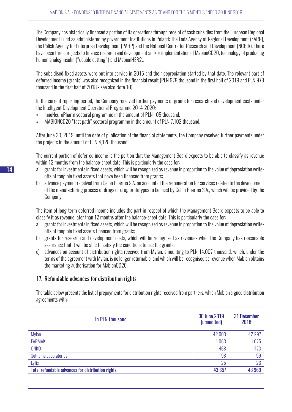The Company has historically financed a portion of its operations through receipt of cash subsidies from the European Regional Development Fund as administered by government institutions in Poland: The Lodz Agency of Regional Development (ŁARR), the Polish Agency for Enterprise Development (PARP) and the National Centre for Research and Development (NCBiR). There have been three projects to finance research and development and/or implementation of MabionCD20, technology of producing human analog insulin ("double cutting") and MabionHER2..

The subsidised fixed assets were put into service in 2015 and their depreciation started by that date. The relevant part of deferred income (grants) was also recognized in the financial result (PLN 978 thousand in the first half of 2019 and PLN 978 thousand in the first half of 2018 - see also Note 10).

In the current reporting period, the Company received further payments of grants for research and development costs under the Intelligent Development Operational Programme 2014-2020:

- » InnoNeuroPharm sectoral programme in the amount of PLN 105 thousand,
- » MABIONCD20 "fast path" sectoral programme in the amount of PLN 7,102 thousand.

After June 30, 2019. until the date of publication of the financial statements, the Company received further payments under the projects in the amount of PLN 4,128 thousand.

The current portion of deferred income is the portion that the Management Board expects to be able to classify as revenue within 12 months from the balance-sheet date. This is particularly the case for:

- a) grants for investments in fixed assets, which will be recognized as revenue in proportion to the value of depreciation writeoffs of tangible fixed assets that have been financed from grants;
- b) advance payment received from Celon Pharma S.A. on account of the remuneration for services related to the development of the manufacturing process of drugs or drug prototypes to be used by Celon Pharma S.A., which will be provided by the Company.

The item of long-term deferred income includes the part in respect of which the Management Board expects to be able to classify it as revenue later than 12 months after the balance-sheet date. This is particularly the case for:

- a) grants for investments in fixed assets, which will be recognized as revenue in proportion to the value of depreciation writeoffs of tangible fixed assets financed from grants;
- b) grants for research and development costs, which will be recognized as revenues when the Company has reasonable assurance that it will be able to satisfy the conditions to use the grants;
- c) advances on account of distribution rights received from Mylan, amounting to PLN 14,007 thousand, which, under the terms of the agreement with Mylan, is no longer returnable, and which will be recognised as revenue when Mabion obtains the marketing authorisation for MabionCD20.

## 17. Refundable advances for distribution rights

The table below presents the list of prepayments for distribution rights received from partners, which Mabion signed distribution agreements with:

| in PLN thousand                                   | 30 June 2019<br>(unaudited) | 31 December<br>2018 |
|---------------------------------------------------|-----------------------------|---------------------|
| Mylan                                             | 42 003                      | 42 297              |
| <b>FARMAK</b>                                     | 063                         | 1075                |
| <b>ONKO</b>                                       | 468                         | 473                 |
| Sothema Laboratories                              | 98                          | 99                  |
| Lyfis                                             | 25                          | 26                  |
| Total refundable advances for distribution rights | 43 657                      | 43 969              |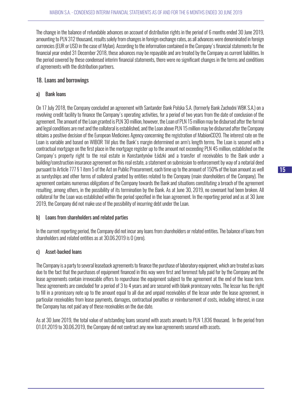The change in the balance of refundable advances on account of distribution rights in the period of 6 months ended 30 June 2019, amounting to PLN 312 thousand, results solely from changes in foreign exchange rates, as all advances were denominated in foreign currencies (EUR or USD in the case of Mylan). According to the information contained in the Company's financial statements for the financial year ended 31 December 2018, these advances may be repayable and are treated by the Company as current liabilities. In the period covered by these condensed interim financial statements, there were no significant changes in the terms and conditions of agreements with the distribution partners.

## 18. Loans and borrowings

## a) Bank loans

On 17 July 2018, the Company concluded an agreement with Santander Bank Polska S.A. (formerly Bank Zachodni WBK S.A.) on a revolving credit facility to finance the Company's operating activities, for a period of two years from the date of conclusion of the agreement. The amount of the Loan granted is PLN 30 million, however, the Loan of PLN 15 million may be disbursed after the formal and legal conditions are met and the collateral is established, and the Loan above PLN 15 million may be disbursed after the Company obtains a positive decision of the European Medicines Agency concerning the registration of MabionCD20. The interest rate on the Loan is variable and based on WIBOR 1M plus the Bank's margin determined on arm's length terms. The Loan is secured with a contractual mortgage on the first place in the mortgage register up to the amount not exceeding PLN 45 million, established on the Company's property right to the real estate in Konstantynów Łódzki and a transfer of receivables to the Bank under a building/construction insurance agreement on this real estate, a statement on submission to enforcement by way of a notarial deed pursuant to Article 777 § 1 item 5 of the Act on Public Procurement, each time up to the amount of 150% of the loan amount as well as suretyships and other forms of collateral granted by entities related to the Company (main shareholders of the Company). The agreement contains numerous obligations of the Company towards the Bank and situations constituting a breach of the agreement resulting, among others, in the possibility of its termination by the Bank. As at June 30, 2019, no covenant had been broken. All collateral for the Loan was established within the period specified in the loan agreement. In the reporting period and as at 30 June 2019, the Company did not make use of the possibility of incurring debt under the Loan.

#### b) Loans from shareholders and related parties

In the current reporting period, the Company did not incur any loans from shareholders or related entities. The balance of loans from shareholders and related entities as at 30.06.2019 is 0 (zero).

#### c) Asset-backed loans

The Company is a party to several leaseback agreements to finance the purchase of laboratory equipment, which are treated as loans due to the fact that the purchases of equipment financed in this way were first and foremost fully paid for by the Company and the lease agreements contain irrevocable offers to repurchase the equipment subject to the agreement at the end of the lease term. These agreements are concluded for a period of 3 to 4 years and are secured with blank promissory notes. The lessor has the right to fill in a promissory note up to the amount equal to all due and unpaid receivables of the lessor under the lease agreement, in particular receivables from lease payments, damages, contractual penalties or reimbursement of costs, including interest, in case the Company has not paid any of these receivables on the due date.

As at 30 June 2019, the total value of outstanding loans secured with assets amounts to PLN 1,836 thousand. In the period from 01.01.2019 to 30.06.2019, the Company did not contract any new loan agreements secured with assets.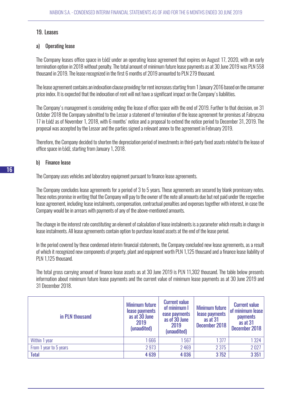## 19. Leases

#### a) Operating lease

The Company leases office space in Łódź under an operating lease agreement that expires on August 17, 2020, with an early termination option in 2018 without penalty. The total amount of minimum future lease payments as at 30 June 2019 was PLN 558 thousand in 2019. The lease recognized in the first 6 months of 2019 amounted to PLN 279 thousand.

The lease agreement contains an indexation clause providing for rent increases starting from 1 January 2016 based on the consumer price index. It is expected that the indexation of rent will not have a significant impact on the Company's liabilities.

The Company's management is considering ending the lease of office space with the end of 2019. Further to that decision, on 31 October 2018 the Company submitted to the Lessor a statement of termination of the lease agreement for premises at Fabryczna 17 in Łódź as of November 1, 2018, with 6 months' notice and a proposal to extend the notice period to December 31, 2019. The proposal was accepted by the Lessor and the parties signed a relevant annex to the agreement in February 2019.

Therefore, the Company decided to shorten the depreciation period of investments in third-party fixed assets related to the lease of office space in Łódź, starting from January 1, 2018.

#### b) Finance lease

The Company uses vehicles and laboratory equipment pursuant to finance lease agreements.

The Company concludes lease agreements for a period of 3 to 5 years. These agreements are secured by blank promissory notes. These notes promise in writing that the Company will pay to the owner of the note all amounts due but not paid under the respective lease agreement, including lease instalments, compensation, contractual penalties and expenses together with interest, in case the Company would be in arrears with payments of any of the above-mentioned amounts.

The change in the interest rate constituting an element of calculation of lease instalments is a parameter which results in change in lease instalments. All lease agreements contain option to purchase leased assets at the end of the lease period.

In the period covered by these condensed interim financial statements, the Company concluded new lease agreements, as a result of which it recognized new components of property, plant and equipment worth PLN 1,125 thousand and a finance lease liability of PLN 1,125 thousand.

The total gross carrying amount of finance lease assets as at 30 June 2019 is PLN 11,302 thousand. The table below presents information about minimum future lease payments and the current value of minimum lease payments as at 30 June 2019 and 31 December 2018.

| in PLN thousand        | <b>Minimum future</b><br>lease payments<br>as at 30 June<br>2019<br>(unaudited) | <b>Current value</b><br>of minimum I<br>ease payments<br>as of 30 June<br>2019<br>(unaudited) | <b>Minimum future</b><br>lease payments<br>as at 31<br>December 2018 | <b>Current value</b><br>of minimum lease<br><b>payments</b><br>as at 31<br>December 2018 |
|------------------------|---------------------------------------------------------------------------------|-----------------------------------------------------------------------------------------------|----------------------------------------------------------------------|------------------------------------------------------------------------------------------|
| Within 1 year          | 1666                                                                            | 567                                                                                           | 1377                                                                 | 1 3 2 4                                                                                  |
| From 1 year to 5 years | 2973                                                                            | 2 4 6 9                                                                                       | 2 3 7 5                                                              | 2027                                                                                     |
| <b>Total</b>           | 4 6 3 9                                                                         | 4 0 36                                                                                        | 3752                                                                 | 3 3 5 1                                                                                  |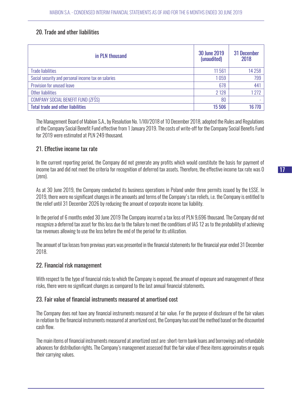## 20. Trade and other liabilities

| in PLN thousand                                     | 30 June 2019<br>(unaudited) | 31 December<br>2018 |
|-----------------------------------------------------|-----------------------------|---------------------|
| <b>Trade liabilities</b>                            | 11561                       | 14 2 5 8            |
| Social security and personal income tax on salaries | 1059                        | 799                 |
| Provision for unused leave                          | 678                         | 441                 |
| Other liabilities                                   | 2 1 2 8                     | 1272                |
| COMPANY SOCIAL BENEFIT FUND (ZFŚS)                  | 80                          |                     |
| <b>Total trade and other liabilities</b>            | 15 506                      | 16 770              |

The Management Board of Mabion S.A., by Resolution No. 1/XII/2018 of 10 December 2018, adopted the Rules and Regulations of the Company Social Benefit Fund effective from 1 January 2019. The costs of write-off for the Company Social Benefis Fund for 2019 were estimated at PLN 249 thousand.

#### 21. Effective income tax rate

In the current reporting period, the Company did not generate any profits which would constitute the basis for payment of income tax and did not meet the criteria for recognition of deferred tax assets. Therefore, the effective income tax rate was 0 (zero).

As at 30 June 2019, the Company conducted its business operations in Poland under three permits issued by the ŁSSE. In 2019, there were no significant changes in the amounts and terms of the Company's tax reliefs, i.e. the Company is entitled to the relief until 31 December 2026 by reducing the amount of corporate income tax liability.

In the period of 6 months ended 30 June 2019 The Company incurred a tax loss of PLN 9,696 thousand. The Company did not recognize a deferred tax asset for this loss due to the failure to meet the conditions of IAS 12 as to the probability of achieving tax revenues allowing to use the loss before the end of the period for its utilization.

The amount of tax losses from previous years was presented in the financial statements for the financial year ended 31 December 2018.

#### 22. Financial risk management

With respect to the type of financial risks to which the Company is exposed, the amount of exposure and management of these risks, there were no significant changes as compared to the last annual financial statements.

#### 23. Fair value of financial instruments measured at amortised cost

The Company does not have any financial instruments measured at fair value. For the purpose of disclosure of the fair values in relation to the financial instruments measured at amortized cost, the Company has used the method based on the discounted cash flow.

The main items of financial instruments measured at amortized cost are: short-term bank loans and borrowings and refundable advances for distribution rights. The Company's management assessed that the fair value of these items approximates or equals their carrying values.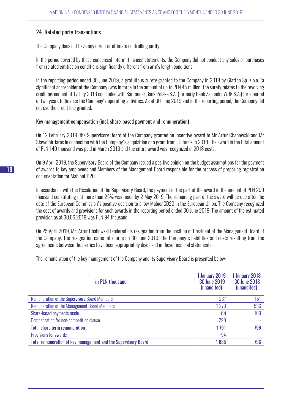## 24. Related party transactions

The Company does not have any direct or ultimate controlling entity.

In the period covered by these condensed interim financial statements, the Company did not conduct any sales or purchases from related entities on conditions significantly different from arm's length conditions.

In the reporting period ended 30 June 2019, a gratuitous surety granted to the Company in 2018 by Glatton Sp. z o.o. (a significant shareholder of the Company) was in force in the amount of up to PLN 45 million. The surety relates to the revolving credit agreement of 17 July 2018 concluded with Santander Bank Polska S.A. (formerly Bank Zachodni WBK S.A.) for a period of two years to finance the Company's operating activities. As at 30 June 2019 and in the reporting period, the Company did not use the credit line granted.

#### Key management compensation (incl. share-based payment and remuneration)

On 12 February 2019, the Supervisory Board of the Company granted an incentive award to Mr Artur Chabowski and Mr Sławomir Jaros in connection with the Company's acquisition of a grant from EU funds in 2018. The award in the total amount of PLN 140 thousand was paid in March 2019 and the entire award was recognized in 2018 costs.

On 9 April 2019, the Supervisory Board of the Company issued a positive opinion on the budget assumptions for the payment of awards to key employees and Members of the Management Board responsible for the process of preparing registration documentation for MabionCD20.

In accordance with the Resolution of the Supervisory Board, the payment of the part of the award in the amount of PLN 200 thousand constituting not more than 25% was made by 2 May 2019. The remaining part of the award will be due after the date of the European Commission's positive decision to allow MabionCD20 in the European Union. The Company recognized the cost of awards and provisions for such awards in the reporting period ended 30 June 2019. The amount of the estimated provision as at 30.06.2019 was PLN 94 thousand.

On 25 April 2019, Mr. Artur Chabowski tendered his resignation from the position of President of the Management Board of the Company. The resignation came into force on 30 June 2019. The Company's liabilities and costs resulting from the agreements between the parties have been appropriately disclosed in these financial statements.

The remuneration of the key management of the Company and its Supervisory Board is presented below:

| in PLN thousand                                                | 1 January 2019<br>-30 June 2019<br>(unaudited) | 1 January 2018<br>-30 June 2018<br>(unaudited) |
|----------------------------------------------------------------|------------------------------------------------|------------------------------------------------|
| <b>Remuneration of the Supervisory Board Members</b>           | 237                                            | 151                                            |
| <b>Remuneration of the Management Board Members</b>            | 1273                                           | 536                                            |
| Share-based payments made                                      | (9)                                            | 109                                            |
| Compensation for non-competition clause                        | 290                                            |                                                |
| <b>Total short-term remuneration</b>                           | 1791                                           | 796                                            |
| Provisions for awards                                          | 94                                             |                                                |
| Total remuneration of key management and the Supervisory Board | 1885                                           | 796                                            |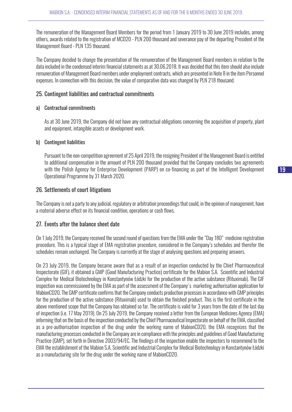The remuneration of the Management Board Members for the period from 1 January 2019 to 30 June 2019 includes, among others, awards related to the registration of MCD20 - PLN 200 thousand and severance pay of the departing President of the Management Board - PLN 135 thousand.

The Company decided to change the presentation of the remuneration of the Management Board members in relation to the data included in the condensed interim financial statements as at 30.06.2018. It was decided that this item should also include remuneration of Management Board members under employment contracts, which are presented in Note 8 in the item Personnel expenses. In connection with this decision, the value of comparative data was changed by PLN 218 thousand.

## 25. Contingent liabilities and contractual commitments

#### a) Contractual commitments

As at 30 June 2019, the Company did not have any contractual obligations concerning the acquisition of property, plant and equipment, intangible assets or development work.

#### b) Contingent liabilities

Pursuant to the non-competition agreement of 25 April 2019, the resigning President of the Management Board is entitled to additional compensation in the amount of PLN 200 thousand provided that the Company concludes two agreements with the Polish Agency for Enterprise Development (PARP) on co-financing as part of the Intelligent Development Operational Programme by 31 March 2020.

#### 26. Settlements of court litigations

The Company is not a party to any judicial, regulatory or arbitration proceedings that could, in the opinion of management, have a material adverse effect on its financial condition, operations or cash flows.

#### 27. Events after the balance sheet date

On 1 July 2019, the Company received the second round of questions from the EMA under the "Day 180" medicine registration procedure. This is a typical stage of EMA registration procedure, considered in the Company's schedules and therefor the schedules remain unchanged. The Company is currently at the stage of analysing questions and preparing answers.

On 23 July 2019, the Company became aware that as a result of an inspection conducted by the Chief Pharmaceutical Inspectorate (GIF), it obtained a GMP (Good Manufacturing Practice) certificate for the Mabion S.A. Scientific and Industrial Complex for Medical Biotechnology in Konstantynów Łódzki for the production of the active substance (Rituximab). The GIF inspection was commissioned by the EMA as part of the assessment of the Company's marketing authorisation application for MabionCD20. The GMP certificate confirms that the Company conducts production processes in accordance with GMP principles for the production of the active substance (Rituximab) used to obtain the finished product. This is the first certificate in the above mentioned scope that the Company has obtained so far. The certificate is valid for 3 years from the date of the last day of inspection (i.e. 17 May 2019). On 25 July 2019, the Company received a letter from the European Medicines Agency (EMA) informing that on the basis of the inspection conducted by the Chief Pharmaceutical Inspectorate on behalf of the EMA, classified as a pre-authorisation inspection of the drug under the working name of MabionCD20, the EMA recognizes that the manufacturing processes conducted in the Company are in compliance with the principles and guidelines of Good Manufacturing Practice (GMP), set forth in Directive 2003/94/EC. The findings of the inspection enable the inspectors to recommend to the EMA the establishment of the Mabion S.A. Scientific and Industrial Complex for Medical Biotechnology in Konstantynów Łódzki as a manufacturing site for the drug under the working name of MabionCD20.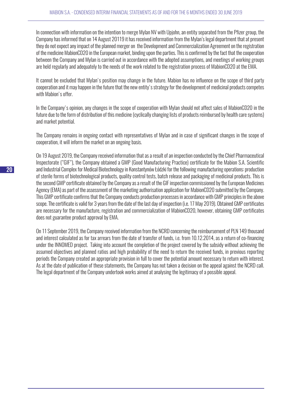In connection with information on the intention to merge Mylan NV with Upjohn, an entity separated from the Pfizer group, the Company has informed that on 14 August 20119 it has received information from the Mylan's legal department that at present they do not expect any impact of the planned merger on the Development and Commercialization Agreement on the registration of the medicine MabionCD20 in the European market, binding upon the parties. This is confirmed by the fact that the cooperation between the Company and Mylan is carried out in accordance with the adopted assumptions, and meetings of working groups are held regularly and adequately to the needs of the work related to the registration process of MabionCD20 at the EMA.

It cannot be excluded that Mylan's position may change in the future. Mabion has no influence on the scope of third party cooperation and it may happen in the future that the new entity's strategy for the development of medicinal products competes with Mabion's offer.

In the Company's opinion, any changes in the scope of cooperation with Mylan should not affect sales of MabionCD20 in the future due to the form of distribution of this medicine (cyclically changing lists of products reimbursed by health care systems) and market potential.

The Company remains in ongoing contact with representatives of Mylan and in case of significant changes in the scope of cooperation, it will inform the market on an ongoing basis.

On 19 August 2019, the Company received information that as a result of an inspection conducted by the Chief Pharmaceutical Inspectorate ("GIF"), the Company obtained a GMP (Good Manufacturing Practice) certificate for the Mabion S.A. Scientific and Industrial Complex for Medical Biotechnology in Konstantynów Łódzki for the following manufacturing operations: production of sterile forms of biotechnological products, quality control tests, batch release and packaging of medicinal products. This is the second GMP certificate obtained by the Company as a result of the GIF inspection commissioned by the European Medicines Agency (EMA) as part of the assessment of the marketing authorisation application for MabionCD20 submitted by the Company. This GMP certificate confirms that the Company conducts production processes in accordance with GMP principles in the above scope. The certificate is valid for 3 years from the date of the last day of inspection (i.e. 17 May 2019). Obtained GMP certificates are necessary for the manufacture, registration and commercialization of MabionCD20, however, obtaining GMP certificates does not guarantee product approval by EMA.

On 11 September 2019, the Company received information from the NCRD concerning the reimbursement of PLN 149 thousand and interest calculated as for tax arrears from the date of transfer of funds, i.e. from 10.12.2014, as a return of co-financing under the INNOMED project. Taking into account the completion of the project covered by the subsidy without achieving the assumed objectives and planned ratios and high probability of the need to return the received funds, in previous reporting periods the Company created an appropriate provision in full to cover the potential amount necessary to return with interest. As at the date of publication of these statements, the Company has not taken a decision on the appeal against the NCRD call. The legal department of the Company undertook works aimed at analysing the legitimacy of a possible appeal.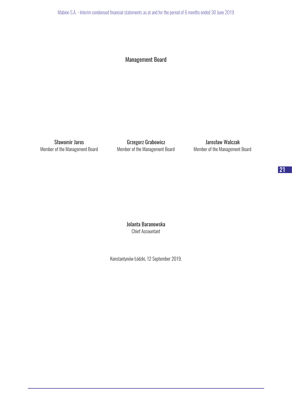Mabion S.A. - Interim condensed financial statements as at and for the period of 6 months ended 30 June 2019

## Management Board

Sławomir Jaros **Grzegorz Grabowicz** Grabowicz Jarosław Walczak Member of the Management Board Member of the Management Board Member of the Management Board

Jolanta Baranowska Chief Accountant

Konstantynów Łódzki, 12 September 2019.